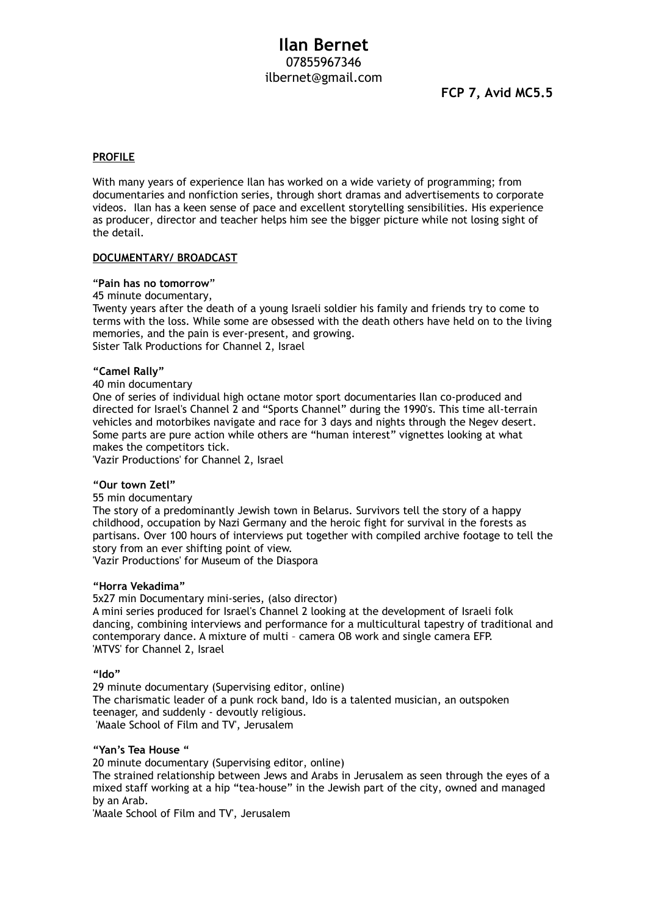# **Ilan Bernet** 07855967346 ilbernet@gmail.com

### **PROFILE**

With many years of experience Ilan has worked on a wide variety of programming; from documentaries and nonfiction series, through short dramas and advertisements to corporate videos. Ilan has a keen sense of pace and excellent storytelling sensibilities. His experience as producer, director and teacher helps him see the bigger picture while not losing sight of the detail.

#### **DOCUMENTARY/ BROADCAST**

"**Pain has no tomorrow**"

45 minute documentary,

Twenty years after the death of a young Israeli soldier his family and friends try to come to terms with the loss. While some are obsessed with the death others have held on to the living memories, and the pain is ever-present, and growing. Sister Talk Productions for Channel 2, Israel

#### **"Camel Rally"**

40 min documentary

One of series of individual high octane motor sport documentaries Ilan co-produced and directed for Israel's Channel 2 and "Sports Channel" during the 1990's. This time all-terrain vehicles and motorbikes navigate and race for 3 days and nights through the Negev desert. Some parts are pure action while others are "human interest" vignettes looking at what makes the competitors tick.

'Vazir Productions' for Channel 2, Israel

#### **"Our town Zetl"**

#### 55 min documentary

The story of a predominantly Jewish town in Belarus. Survivors tell the story of a happy childhood, occupation by Nazi Germany and the heroic fight for survival in the forests as partisans. Over 100 hours of interviews put together with compiled archive footage to tell the story from an ever shifting point of view.

'Vazir Productions' for Museum of the Diaspora

#### **"Horra Vekadima"**

5x27 min Documentary mini-series, (also director)

A mini series produced for Israel's Channel 2 looking at the development of Israeli folk dancing, combining interviews and performance for a multicultural tapestry of traditional and contemporary dance. A mixture of multi – camera OB work and single camera EFP. 'MTVS' for Channel 2, Israel

#### **"Ido"**

29 minute documentary (Supervising editor, online) The charismatic leader of a punk rock band, Ido is a talented musician, an outspoken teenager, and suddenly - devoutly religious. 'Maale School of Film and TV', Jerusalem

#### **"Yan's Tea House "**

20 minute documentary (Supervising editor, online)

The strained relationship between Jews and Arabs in Jerusalem as seen through the eyes of a mixed staff working at a hip "tea-house" in the Jewish part of the city, owned and managed by an Arab.

'Maale School of Film and TV', Jerusalem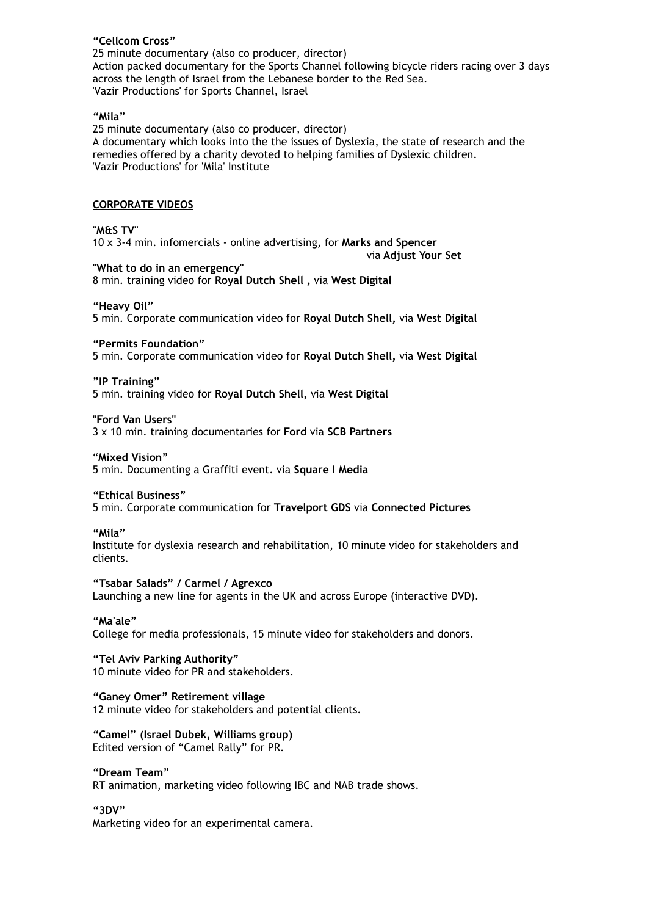**"Cellcom Cross"** 25 minute documentary (also co producer, director) Action packed documentary for the Sports Channel following bicycle riders racing over 3 days across the length of Israel from the Lebanese border to the Red Sea. 'Vazir Productions' for Sports Channel, Israel

### **"Mila"**

25 minute documentary (also co producer, director) A documentary which looks into the the issues of Dyslexia, the state of research and the remedies offered by a charity devoted to helping families of Dyslexic children. 'Vazir Productions' for 'Mila' Institute

### **CORPORATE VIDEOS**

**"M&S TV"** 10 x 3-4 min. infomercials - online advertising, for **Marks and Spencer**  via **Adjust Your Set**

**"What to do in an emergency"** 8 min. training video for **Royal Dutch Shell ,** via **West Digital**

### **"Heavy Oil"**

5 min. Corporate communication video for **Royal Dutch Shell,** via **West Digital**

#### **"Permits Foundation"**

5 min. Corporate communication video for **Royal Dutch Shell,** via **West Digital**

#### **"IP Training"**

5 min. training video for **Royal Dutch Shell,** via **West Digital**

#### **"Ford Van Users"**

3 x 10 min. training documentaries for **Ford** via **SCB Partners**

#### "**Mixed Vision"**

5 min. Documenting a Graffiti event. via **Square I Media**

#### **"Ethical Business"**

5 min. Corporate communication for **Travelport GDS** via **Connected Pictures**

## **"Mila"**

Institute for dyslexia research and rehabilitation, 10 minute video for stakeholders and clients.

**"Tsabar Salads" / Carmel / Agrexco** Launching a new line for agents in the UK and across Europe (interactive DVD).

#### **"Ma'ale"**

College for media professionals, 15 minute video for stakeholders and donors.

## **"Tel Aviv Parking Authority"**

10 minute video for PR and stakeholders.

#### **"Ganey Omer" Retirement village**

12 minute video for stakeholders and potential clients.

# **"Camel" (Israel Dubek, Williams group)**

Edited version of "Camel Rally" for PR.

### **"Dream Team"**

RT animation, marketing video following IBC and NAB trade shows.

#### **"3DV"**

Marketing video for an experimental camera.